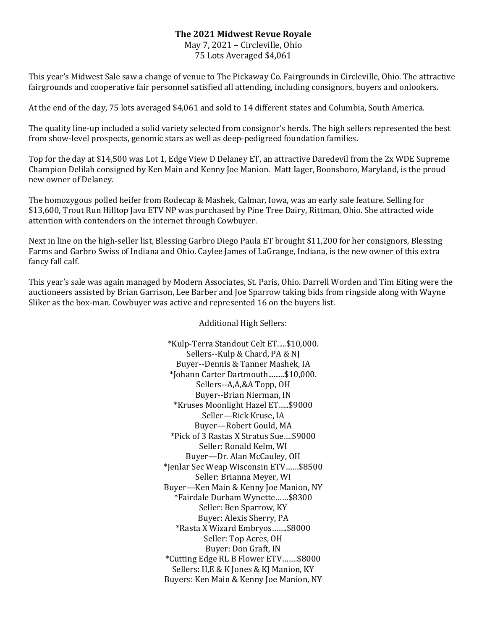## **The 2021 Midwest Revue Royale**

May 7, 2021 – Circleville, Ohio 75 Lots Averaged \$4,061

This year's Midwest Sale saw a change of venue to The Pickaway Co. Fairgrounds in Circleville, Ohio. The attractive fairgrounds and cooperative fair personnel satisfied all attending, including consignors, buyers and onlookers.

At the end of the day, 75 lots averaged \$4,061 and sold to 14 different states and Columbia, South America.

The quality line-up included a solid variety selected from consignor's herds. The high sellers represented the best from show-level prospects, genomic stars as well as deep-pedigreed foundation families.

Top for the day at \$14,500 was Lot 1, Edge View D Delaney ET, an attractive Daredevil from the 2x WDE Supreme Champion Delilah consigned by Ken Main and Kenny Joe Manion. Matt Iager, Boonsboro, Maryland, is the proud new owner of Delaney.

The homozygous polled heifer from Rodecap & Mashek, Calmar, Iowa, was an early sale feature. Selling for \$13,600, Trout Run Hilltop Java ETV NP was purchased by Pine Tree Dairy, Rittman, Ohio. She attracted wide attention with contenders on the internet through Cowbuyer.

Next in line on the high-seller list, Blessing Garbro Diego Paula ET brought \$11,200 for her consignors, Blessing Farms and Garbro Swiss of Indiana and Ohio. Caylee James of LaGrange, Indiana, is the new owner of this extra fancy fall calf.

This year's sale was again managed by Modern Associates, St. Paris, Ohio. Darrell Worden and Tim Eiting were the auctioneers assisted by Brian Garrison, Lee Barber and Joe Sparrow taking bids from ringside along with Wayne Sliker as the box-man. Cowbuyer was active and represented 16 on the buyers list.

Additional High Sellers:

\*Kulp-Terra Standout Celt ET.....\$10,000. Sellers--Kulp & Chard, PA & NJ Buyer--Dennis & Tanner Mashek, IA \*Johann Carter Dartmouth.........\$10,000. Sellers--A,A,&A Topp, OH Buyer--Brian Nierman, IN \*Kruses Moonlight Hazel ET…..\$9000 Seller—Rick Kruse, IA Buyer—Robert Gould, MA \*Pick of 3 Rastas X Stratus Sue….\$9000 Seller: Ronald Kelm, WI Buyer—Dr. Alan McCauley, OH \*Jenlar Sec Weap Wisconsin ETV……\$8500 Seller: Brianna Meyer, WI Buyer—Ken Main & Kenny Joe Manion, NY \*Fairdale Durham Wynette……\$8300 Seller: Ben Sparrow, KY Buyer: Alexis Sherry, PA \*Rasta X Wizard Embryos…….\$8000 Seller: Top Acres, OH Buyer: Don Graft, IN \*Cutting Edge RL B Flower ETV…….\$8000 Sellers: H,E & K Jones & KJ Manion, KY Buyers: Ken Main & Kenny Joe Manion, NY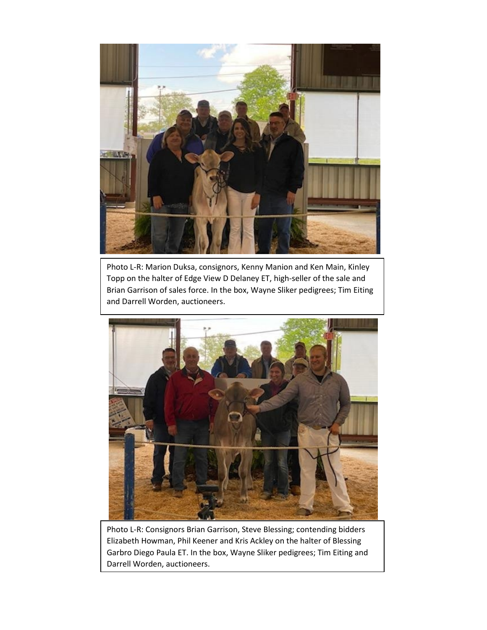

Photo L-R: Marion Duksa, consignors, Kenny Manion and Ken Main, Kinley Topp on the halter of Edge View D Delaney ET, high-seller of the sale and Brian Garrison of sales force. In the box, Wayne Sliker pedigrees; Tim Eiting and Darrell Worden, auctioneers.



Photo L-R: Consignors Brian Garrison, Steve Blessing; contending bidders Elizabeth Howman, Phil Keener and Kris Ackley on the halter of Blessing Garbro Diego Paula ET. In the box, Wayne Sliker pedigrees; Tim Eiting and Darrell Worden, auctioneers.